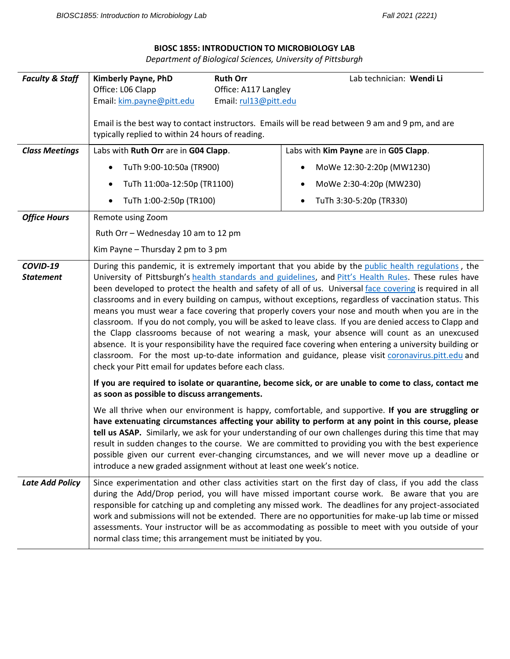## **BIOSC 1855: INTRODUCTION TO MICROBIOLOGY LAB**

*Department of Biological Sciences, University of Pittsburgh*

| <b>Faculty &amp; Staff</b>   | Kimberly Payne, PhD                                                                                                                                                                                                                                                                                                                                                                                                                                                                                                                                                                                                                                                                                                                                                                                                                                                                                                                                                                                                                                                                                                                    | <b>Ruth Orr</b>                               | Lab technician: Wendi Li                                                                                                                                                                                                                                                                                                                                                                                                                                                                                                      |  |
|------------------------------|----------------------------------------------------------------------------------------------------------------------------------------------------------------------------------------------------------------------------------------------------------------------------------------------------------------------------------------------------------------------------------------------------------------------------------------------------------------------------------------------------------------------------------------------------------------------------------------------------------------------------------------------------------------------------------------------------------------------------------------------------------------------------------------------------------------------------------------------------------------------------------------------------------------------------------------------------------------------------------------------------------------------------------------------------------------------------------------------------------------------------------------|-----------------------------------------------|-------------------------------------------------------------------------------------------------------------------------------------------------------------------------------------------------------------------------------------------------------------------------------------------------------------------------------------------------------------------------------------------------------------------------------------------------------------------------------------------------------------------------------|--|
|                              | Office: L06 Clapp<br>Email: kim.payne@pitt.edu                                                                                                                                                                                                                                                                                                                                                                                                                                                                                                                                                                                                                                                                                                                                                                                                                                                                                                                                                                                                                                                                                         | Office: A117 Langley<br>Email: rul13@pitt.edu |                                                                                                                                                                                                                                                                                                                                                                                                                                                                                                                               |  |
|                              | Email is the best way to contact instructors. Emails will be read between 9 am and 9 pm, and are<br>typically replied to within 24 hours of reading.                                                                                                                                                                                                                                                                                                                                                                                                                                                                                                                                                                                                                                                                                                                                                                                                                                                                                                                                                                                   |                                               |                                                                                                                                                                                                                                                                                                                                                                                                                                                                                                                               |  |
| <b>Class Meetings</b>        | Labs with Ruth Orr are in G04 Clapp.                                                                                                                                                                                                                                                                                                                                                                                                                                                                                                                                                                                                                                                                                                                                                                                                                                                                                                                                                                                                                                                                                                   | Labs with Kim Payne are in G05 Clapp.         |                                                                                                                                                                                                                                                                                                                                                                                                                                                                                                                               |  |
|                              | TuTh 9:00-10:50a (TR900)                                                                                                                                                                                                                                                                                                                                                                                                                                                                                                                                                                                                                                                                                                                                                                                                                                                                                                                                                                                                                                                                                                               |                                               | MoWe 12:30-2:20p (MW1230)<br>$\bullet$                                                                                                                                                                                                                                                                                                                                                                                                                                                                                        |  |
|                              | TuTh 11:00a-12:50p (TR1100)<br>$\bullet$                                                                                                                                                                                                                                                                                                                                                                                                                                                                                                                                                                                                                                                                                                                                                                                                                                                                                                                                                                                                                                                                                               |                                               | MoWe 2:30-4:20p (MW230)<br>$\bullet$                                                                                                                                                                                                                                                                                                                                                                                                                                                                                          |  |
|                              | TuTh 1:00-2:50p (TR100)                                                                                                                                                                                                                                                                                                                                                                                                                                                                                                                                                                                                                                                                                                                                                                                                                                                                                                                                                                                                                                                                                                                |                                               | TuTh 3:30-5:20p (TR330)<br>$\bullet$                                                                                                                                                                                                                                                                                                                                                                                                                                                                                          |  |
| <b>Office Hours</b>          | Remote using Zoom                                                                                                                                                                                                                                                                                                                                                                                                                                                                                                                                                                                                                                                                                                                                                                                                                                                                                                                                                                                                                                                                                                                      |                                               |                                                                                                                                                                                                                                                                                                                                                                                                                                                                                                                               |  |
|                              | Ruth Orr - Wednesday 10 am to 12 pm                                                                                                                                                                                                                                                                                                                                                                                                                                                                                                                                                                                                                                                                                                                                                                                                                                                                                                                                                                                                                                                                                                    |                                               |                                                                                                                                                                                                                                                                                                                                                                                                                                                                                                                               |  |
|                              | Kim Payne - Thursday 2 pm to 3 pm                                                                                                                                                                                                                                                                                                                                                                                                                                                                                                                                                                                                                                                                                                                                                                                                                                                                                                                                                                                                                                                                                                      |                                               |                                                                                                                                                                                                                                                                                                                                                                                                                                                                                                                               |  |
| COVID-19<br><b>Statement</b> | During this pandemic, it is extremely important that you abide by the public health regulations, the<br>University of Pittsburgh's health standards and guidelines, and Pitt's Health Rules. These rules have<br>been developed to protect the health and safety of all of us. Universal face covering is required in all<br>classrooms and in every building on campus, without exceptions, regardless of vaccination status. This<br>means you must wear a face covering that properly covers your nose and mouth when you are in the<br>classroom. If you do not comply, you will be asked to leave class. If you are denied access to Clapp and<br>the Clapp classrooms because of not wearing a mask, your absence will count as an unexcused<br>absence. It is your responsibility have the required face covering when entering a university building or<br>classroom. For the most up-to-date information and guidance, please visit coronavirus.pitt.edu and<br>check your Pitt email for updates before each class.<br>If you are required to isolate or quarantine, become sick, or are unable to come to class, contact me |                                               |                                                                                                                                                                                                                                                                                                                                                                                                                                                                                                                               |  |
|                              | as soon as possible to discuss arrangements.                                                                                                                                                                                                                                                                                                                                                                                                                                                                                                                                                                                                                                                                                                                                                                                                                                                                                                                                                                                                                                                                                           |                                               |                                                                                                                                                                                                                                                                                                                                                                                                                                                                                                                               |  |
|                              | introduce a new graded assignment without at least one week's notice.                                                                                                                                                                                                                                                                                                                                                                                                                                                                                                                                                                                                                                                                                                                                                                                                                                                                                                                                                                                                                                                                  |                                               | We all thrive when our environment is happy, comfortable, and supportive. If you are struggling or<br>have extenuating circumstances affecting your ability to perform at any point in this course, please<br>tell us ASAP. Similarly, we ask for your understanding of our own challenges during this time that may<br>result in sudden changes to the course. We are committed to providing you with the best experience<br>possible given our current ever-changing circumstances, and we will never move up a deadline or |  |
| <b>Late Add Policy</b>       | normal class time; this arrangement must be initiated by you.                                                                                                                                                                                                                                                                                                                                                                                                                                                                                                                                                                                                                                                                                                                                                                                                                                                                                                                                                                                                                                                                          |                                               | Since experimentation and other class activities start on the first day of class, if you add the class<br>during the Add/Drop period, you will have missed important course work. Be aware that you are<br>responsible for catching up and completing any missed work. The deadlines for any project-associated<br>work and submissions will not be extended. There are no opportunities for make-up lab time or missed<br>assessments. Your instructor will be as accommodating as possible to meet with you outside of your |  |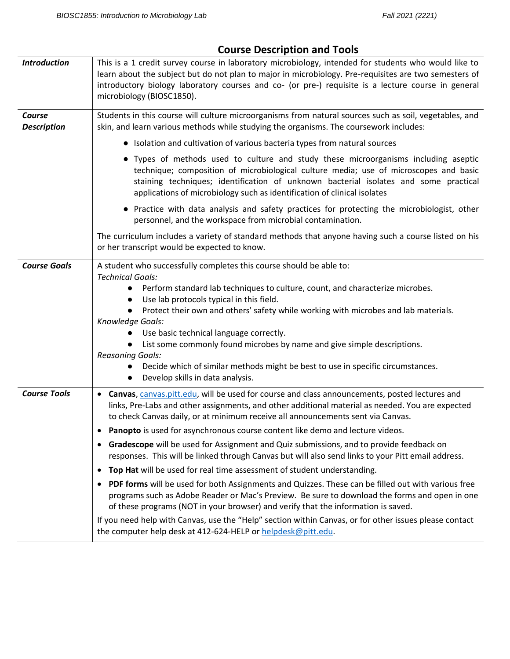| This is a 1 credit survey course in laboratory microbiology, intended for students who would like to                                                                                                                                                                                                                                                                                                                                                                                                                                                                                                                                                                                                                                                                                                                                                                                                                                                                                                                                                                                                                                                                |
|---------------------------------------------------------------------------------------------------------------------------------------------------------------------------------------------------------------------------------------------------------------------------------------------------------------------------------------------------------------------------------------------------------------------------------------------------------------------------------------------------------------------------------------------------------------------------------------------------------------------------------------------------------------------------------------------------------------------------------------------------------------------------------------------------------------------------------------------------------------------------------------------------------------------------------------------------------------------------------------------------------------------------------------------------------------------------------------------------------------------------------------------------------------------|
| learn about the subject but do not plan to major in microbiology. Pre-requisites are two semesters of<br>introductory biology laboratory courses and co- (or pre-) requisite is a lecture course in general<br>microbiology (BIOSC1850).                                                                                                                                                                                                                                                                                                                                                                                                                                                                                                                                                                                                                                                                                                                                                                                                                                                                                                                            |
| Students in this course will culture microorganisms from natural sources such as soil, vegetables, and<br>skin, and learn various methods while studying the organisms. The coursework includes:                                                                                                                                                                                                                                                                                                                                                                                                                                                                                                                                                                                                                                                                                                                                                                                                                                                                                                                                                                    |
| • Isolation and cultivation of various bacteria types from natural sources                                                                                                                                                                                                                                                                                                                                                                                                                                                                                                                                                                                                                                                                                                                                                                                                                                                                                                                                                                                                                                                                                          |
| • Types of methods used to culture and study these microorganisms including aseptic<br>technique; composition of microbiological culture media; use of microscopes and basic<br>staining techniques; identification of unknown bacterial isolates and some practical<br>applications of microbiology such as identification of clinical isolates                                                                                                                                                                                                                                                                                                                                                                                                                                                                                                                                                                                                                                                                                                                                                                                                                    |
| • Practice with data analysis and safety practices for protecting the microbiologist, other<br>personnel, and the workspace from microbial contamination.                                                                                                                                                                                                                                                                                                                                                                                                                                                                                                                                                                                                                                                                                                                                                                                                                                                                                                                                                                                                           |
| The curriculum includes a variety of standard methods that anyone having such a course listed on his<br>or her transcript would be expected to know.                                                                                                                                                                                                                                                                                                                                                                                                                                                                                                                                                                                                                                                                                                                                                                                                                                                                                                                                                                                                                |
| A student who successfully completes this course should be able to:<br><b>Technical Goals:</b><br>Perform standard lab techniques to culture, count, and characterize microbes.<br>$\bullet$<br>Use lab protocols typical in this field.<br>$\bullet$<br>Protect their own and others' safety while working with microbes and lab materials.<br>Knowledge Goals:<br>Use basic technical language correctly.<br>List some commonly found microbes by name and give simple descriptions.<br>$\bullet$<br><b>Reasoning Goals:</b><br>Decide which of similar methods might be best to use in specific circumstances.<br>Develop skills in data analysis.                                                                                                                                                                                                                                                                                                                                                                                                                                                                                                               |
| Canvas, canvas.pitt.edu, will be used for course and class announcements, posted lectures and<br>$\bullet$<br>links, Pre-Labs and other assignments, and other additional material as needed. You are expected<br>to check Canvas daily, or at minimum receive all announcements sent via Canvas.<br>Panopto is used for asynchronous course content like demo and lecture videos.<br>٠<br>Gradescope will be used for Assignment and Quiz submissions, and to provide feedback on<br>responses. This will be linked through Canvas but will also send links to your Pitt email address.<br>Top Hat will be used for real time assessment of student understanding.<br>$\bullet$<br>PDF forms will be used for both Assignments and Quizzes. These can be filled out with various free<br>$\bullet$<br>programs such as Adobe Reader or Mac's Preview. Be sure to download the forms and open in one<br>of these programs (NOT in your browser) and verify that the information is saved.<br>If you need help with Canvas, use the "Help" section within Canvas, or for other issues please contact<br>the computer help desk at 412-624-HELP or helpdesk@pitt.edu. |
|                                                                                                                                                                                                                                                                                                                                                                                                                                                                                                                                                                                                                                                                                                                                                                                                                                                                                                                                                                                                                                                                                                                                                                     |

# **Course Description and Tools**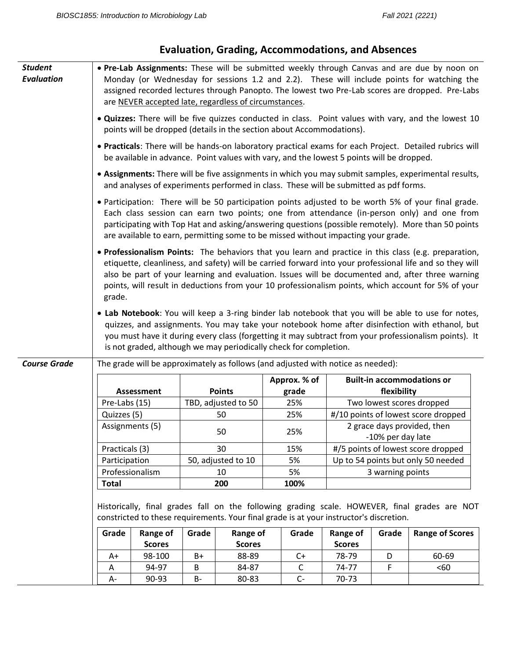| <b>Student</b><br><b>Evaluation</b> |                | . Pre-Lab Assignments: These will be submitted weekly through Canvas and are due by noon on<br>Monday (or Wednesday for sessions 1.2 and 2.2). These will include points for watching the<br>assigned recorded lectures through Panopto. The lowest two Pre-Lab scores are dropped. Pre-Labs<br>are NEVER accepted late, regardless of circumstances. |       |                        |                                                                                           |                        |                   |                                                                                                                                                                                                                                                                                                                                                                                                                             |
|-------------------------------------|----------------|-------------------------------------------------------------------------------------------------------------------------------------------------------------------------------------------------------------------------------------------------------------------------------------------------------------------------------------------------------|-------|------------------------|-------------------------------------------------------------------------------------------|------------------------|-------------------|-----------------------------------------------------------------------------------------------------------------------------------------------------------------------------------------------------------------------------------------------------------------------------------------------------------------------------------------------------------------------------------------------------------------------------|
|                                     |                |                                                                                                                                                                                                                                                                                                                                                       |       |                        | points will be dropped (details in the section about Accommodations).                     |                        |                   | . Quizzes: There will be five quizzes conducted in class. Point values with vary, and the lowest 10                                                                                                                                                                                                                                                                                                                         |
|                                     |                |                                                                                                                                                                                                                                                                                                                                                       |       |                        | be available in advance. Point values with vary, and the lowest 5 points will be dropped. |                        |                   | . Practicals: There will be hands-on laboratory practical exams for each Project. Detailed rubrics will                                                                                                                                                                                                                                                                                                                     |
|                                     |                |                                                                                                                                                                                                                                                                                                                                                       |       |                        | and analyses of experiments performed in class. These will be submitted as pdf forms.     |                        |                   | • Assignments: There will be five assignments in which you may submit samples, experimental results,                                                                                                                                                                                                                                                                                                                        |
|                                     |                |                                                                                                                                                                                                                                                                                                                                                       |       |                        | are available to earn, permitting some to be missed without impacting your grade.         |                        |                   | . Participation: There will be 50 participation points adjusted to be worth 5% of your final grade.<br>Each class session can earn two points; one from attendance (in-person only) and one from<br>participating with Top Hat and asking/answering questions (possible remotely). More than 50 points                                                                                                                      |
|                                     | grade.         |                                                                                                                                                                                                                                                                                                                                                       |       |                        |                                                                                           |                        |                   | . Professionalism Points: The behaviors that you learn and practice in this class (e.g. preparation,<br>etiquette, cleanliness, and safety) will be carried forward into your professional life and so they will<br>also be part of your learning and evaluation. Issues will be documented and, after three warning<br>points, will result in deductions from your 10 professionalism points, which account for 5% of your |
|                                     |                |                                                                                                                                                                                                                                                                                                                                                       |       |                        | is not graded, although we may periodically check for completion.                         |                        |                   | . Lab Notebook: You will keep a 3-ring binder lab notebook that you will be able to use for notes,<br>quizzes, and assignments. You may take your notebook home after disinfection with ethanol, but<br>you must have it during every class (forgetting it may subtract from your professionalism points). It                                                                                                               |
| <b>Course Grade</b>                 |                |                                                                                                                                                                                                                                                                                                                                                       |       |                        |                                                                                           |                        |                   |                                                                                                                                                                                                                                                                                                                                                                                                                             |
|                                     |                |                                                                                                                                                                                                                                                                                                                                                       |       |                        | The grade will be approximately as follows (and adjusted with notice as needed):          |                        |                   |                                                                                                                                                                                                                                                                                                                                                                                                                             |
|                                     |                | <b>Assessment</b>                                                                                                                                                                                                                                                                                                                                     |       | <b>Points</b>          | Approx. % of<br>grade                                                                     |                        | flexibility       | <b>Built-in accommodations or</b>                                                                                                                                                                                                                                                                                                                                                                                           |
|                                     | Pre-Labs (15)  |                                                                                                                                                                                                                                                                                                                                                       |       | TBD, adjusted to 50    | 25%                                                                                       |                        |                   | Two lowest scores dropped                                                                                                                                                                                                                                                                                                                                                                                                   |
|                                     | Quizzes (5)    |                                                                                                                                                                                                                                                                                                                                                       |       | 50                     | 25%                                                                                       |                        |                   | #/10 points of lowest score dropped                                                                                                                                                                                                                                                                                                                                                                                         |
|                                     |                | Assignments (5)                                                                                                                                                                                                                                                                                                                                       |       | 50                     | 25%                                                                                       |                        | -10% per day late | 2 grace days provided, then                                                                                                                                                                                                                                                                                                                                                                                                 |
|                                     | Practicals (3) |                                                                                                                                                                                                                                                                                                                                                       |       | 30                     | 15%                                                                                       |                        |                   | #/5 points of lowest score dropped                                                                                                                                                                                                                                                                                                                                                                                          |
|                                     | Participation  |                                                                                                                                                                                                                                                                                                                                                       |       | 50, adjusted to 10     | 5%                                                                                        |                        |                   | Up to 54 points but only 50 needed                                                                                                                                                                                                                                                                                                                                                                                          |
|                                     |                | Professionalism                                                                                                                                                                                                                                                                                                                                       |       | 10                     | 5%                                                                                        |                        | 3 warning points  |                                                                                                                                                                                                                                                                                                                                                                                                                             |
|                                     | <b>Total</b>   |                                                                                                                                                                                                                                                                                                                                                       |       | 200                    | 100%                                                                                      |                        |                   |                                                                                                                                                                                                                                                                                                                                                                                                                             |
|                                     |                |                                                                                                                                                                                                                                                                                                                                                       |       |                        | constricted to these requirements. Your final grade is at your instructor's discretion.   |                        |                   | Historically, final grades fall on the following grading scale. HOWEVER, final grades are NOT                                                                                                                                                                                                                                                                                                                               |
|                                     | Grade          | <b>Range of</b>                                                                                                                                                                                                                                                                                                                                       | Grade | Range of               | Grade                                                                                     | Range of               | Grade             | <b>Range of Scores</b>                                                                                                                                                                                                                                                                                                                                                                                                      |
|                                     | A+             | <b>Scores</b><br>98-100                                                                                                                                                                                                                                                                                                                               | $B+$  | <b>Scores</b><br>88-89 | $C+$                                                                                      | <b>Scores</b><br>78-79 | D                 | 60-69                                                                                                                                                                                                                                                                                                                                                                                                                       |
|                                     | Α              | 94-97                                                                                                                                                                                                                                                                                                                                                 | В     | 84-87                  | C                                                                                         | 74-77                  | F                 | $60$                                                                                                                                                                                                                                                                                                                                                                                                                        |

# **Evaluation, Grading, Accommodations, and Absences**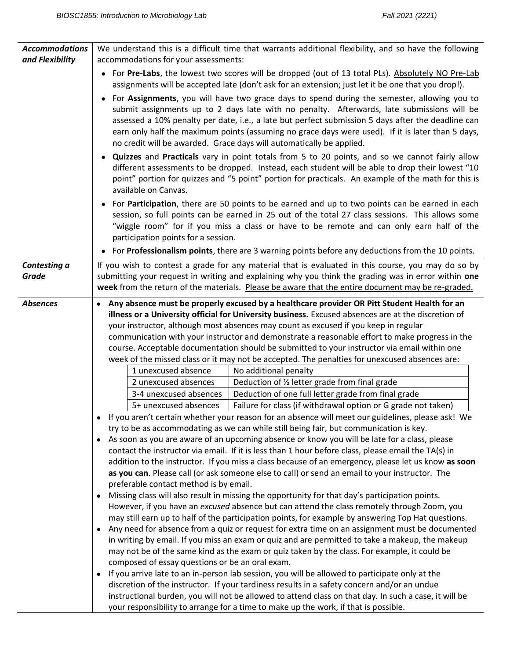| <b>Accommodations</b><br>and Flexibility | We understand this is a difficult time that warrants additional flexibility, and so have the following<br>accommodations for your assessments:                                                                                                                                                                                                                                                                                                                                                                                                                                                                                                                                                                                                                                                                                                                                                                                                                                                                                                                                                                                                                                                                                                                                                                                                                                                                                                                                                                                      |  |  |
|------------------------------------------|-------------------------------------------------------------------------------------------------------------------------------------------------------------------------------------------------------------------------------------------------------------------------------------------------------------------------------------------------------------------------------------------------------------------------------------------------------------------------------------------------------------------------------------------------------------------------------------------------------------------------------------------------------------------------------------------------------------------------------------------------------------------------------------------------------------------------------------------------------------------------------------------------------------------------------------------------------------------------------------------------------------------------------------------------------------------------------------------------------------------------------------------------------------------------------------------------------------------------------------------------------------------------------------------------------------------------------------------------------------------------------------------------------------------------------------------------------------------------------------------------------------------------------------|--|--|
|                                          | • For Pre-Labs, the lowest two scores will be dropped (out of 13 total PLs). Absolutely NO Pre-Lab<br>assignments will be accepted late (don't ask for an extension; just let it be one that you drop!).<br>• For Assignments, you will have two grace days to spend during the semester, allowing you to<br>submit assignments up to 2 days late with no penalty. Afterwards, late submissions will be<br>assessed a 10% penalty per date, i.e., a late but perfect submission 5 days after the deadline can<br>earn only half the maximum points (assuming no grace days were used). If it is later than 5 days,<br>no credit will be awarded. Grace days will automatically be applied.<br>• Quizzes and Practicals vary in point totals from 5 to 20 points, and so we cannot fairly allow<br>different assessments to be dropped. Instead, each student will be able to drop their lowest "10<br>point" portion for quizzes and "5 point" portion for practicals. An example of the math for this is<br>available on Canvas.<br>For Participation, there are 50 points to be earned and up to two points can be earned in each<br>session, so full points can be earned in 25 out of the total 27 class sessions. This allows some                                                                                                                                                                                                                                                                                             |  |  |
|                                          | "wiggle room" for if you miss a class or have to be remote and can only earn half of the                                                                                                                                                                                                                                                                                                                                                                                                                                                                                                                                                                                                                                                                                                                                                                                                                                                                                                                                                                                                                                                                                                                                                                                                                                                                                                                                                                                                                                            |  |  |
|                                          | participation points for a session.<br>• For Professionalism points, there are 3 warning points before any deductions from the 10 points.                                                                                                                                                                                                                                                                                                                                                                                                                                                                                                                                                                                                                                                                                                                                                                                                                                                                                                                                                                                                                                                                                                                                                                                                                                                                                                                                                                                           |  |  |
| Contesting a<br><b>Grade</b>             | If you wish to contest a grade for any material that is evaluated in this course, you may do so by<br>submitting your request in writing and explaining why you think the grading was in error within one<br>week from the return of the materials. Please be aware that the entire document may be re-graded.                                                                                                                                                                                                                                                                                                                                                                                                                                                                                                                                                                                                                                                                                                                                                                                                                                                                                                                                                                                                                                                                                                                                                                                                                      |  |  |
| <b>Absences</b>                          | • Any absence must be properly excused by a healthcare provider OR Pitt Student Health for an<br>illness or a University official for University business. Excused absences are at the discretion of<br>your instructor, although most absences may count as excused if you keep in regular<br>communication with your instructor and demonstrate a reasonable effort to make progress in the<br>course. Acceptable documentation should be submitted to your instructor via email within one<br>week of the missed class or it may not be accepted. The penalties for unexcused absences are:                                                                                                                                                                                                                                                                                                                                                                                                                                                                                                                                                                                                                                                                                                                                                                                                                                                                                                                                      |  |  |
|                                          | 1 unexcused absence<br>No additional penalty<br>Deduction of 1/2 letter grade from final grade<br>2 unexcused absences<br>Deduction of one full letter grade from final grade<br>3-4 unexcused absences<br>5+ unexcused absences<br>Failure for class (if withdrawal option or G grade not taken)<br>If you aren't certain whether your reason for an absence will meet our guidelines, please ask! We<br>try to be as accommodating as we can while still being fair, but communication is key.                                                                                                                                                                                                                                                                                                                                                                                                                                                                                                                                                                                                                                                                                                                                                                                                                                                                                                                                                                                                                                    |  |  |
|                                          | As soon as you are aware of an upcoming absence or know you will be late for a class, please<br>contact the instructor via email. If it is less than 1 hour before class, please email the TA(s) in<br>addition to the instructor. If you miss a class because of an emergency, please let us know as soon<br>as you can. Please call (or ask someone else to call) or send an email to your instructor. The<br>preferable contact method is by email.<br>Missing class will also result in missing the opportunity for that day's participation points.<br>$\bullet$<br>However, if you have an excused absence but can attend the class remotely through Zoom, you<br>may still earn up to half of the participation points, for example by answering Top Hat questions.<br>Any need for absence from a quiz or request for extra time on an assignment must be documented<br>in writing by email. If you miss an exam or quiz and are permitted to take a makeup, the makeup<br>may not be of the same kind as the exam or quiz taken by the class. For example, it could be<br>composed of essay questions or be an oral exam.<br>If you arrive late to an in-person lab session, you will be allowed to participate only at the<br>discretion of the instructor. If your tardiness results in a safety concern and/or an undue<br>instructional burden, you will not be allowed to attend class on that day. In such a case, it will be<br>your responsibility to arrange for a time to make up the work, if that is possible. |  |  |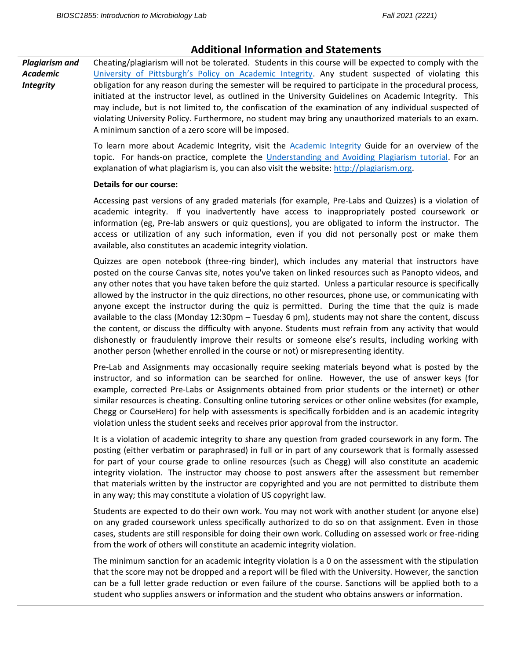## **Additional Information and Statements**

*Plagiarism and Academic Integrity* Cheating/plagiarism will not be tolerated. Students in this course will be expected to comply with the [University of Pittsburgh's Policy on Academic Integrity](http://www.cfo.pitt.edu/policies/policy/02/02-03-02.html). Any student suspected of violating this obligation for any reason during the semester will be required to participate in the procedural process, initiated at the instructor level, as outlined in the University Guidelines on Academic Integrity. This may include, but is not limited to, the confiscation of the examination of any individual suspected of violating University Policy. Furthermore, no student may bring any unauthorized materials to an exam. A minimum sanction of a zero score will be imposed.

> To learn more about Academic Integrity, visit the [Academic Integrity](http://pitt.libguides.com/academicintegrity/) Guide for an overview of the topic. For hands-on practice, complete the [Understanding and Avoiding Plagiarism tutorial.](http://pitt.libguides.com/academicintegrity/plagiarism) For an explanation of what plagiarism is, you can also visit the website[: http://plagiarism.org.](http://plagiarism.org/)

#### **Details for our course:**

Accessing past versions of any graded materials (for example, Pre-Labs and Quizzes) is a violation of academic integrity. If you inadvertently have access to inappropriately posted coursework or information (eg, Pre-lab answers or quiz questions), you are obligated to inform the instructor. The access or utilization of any such information, even if you did not personally post or make them available, also constitutes an academic integrity violation.

Quizzes are open notebook (three-ring binder), which includes any material that instructors have posted on the course Canvas site, notes you've taken on linked resources such as Panopto videos, and any other notes that you have taken before the quiz started. Unless a particular resource is specifically allowed by the instructor in the quiz directions, no other resources, phone use, or communicating with anyone except the instructor during the quiz is permitted. During the time that the quiz is made available to the class (Monday 12:30pm – Tuesday 6 pm), students may not share the content, discuss the content, or discuss the difficulty with anyone. Students must refrain from any activity that would dishonestly or fraudulently improve their results or someone else's results, including working with another person (whether enrolled in the course or not) or misrepresenting identity.

Pre-Lab and Assignments may occasionally require seeking materials beyond what is posted by the instructor, and so information can be searched for online. However, the use of answer keys (for example, corrected Pre-Labs or Assignments obtained from prior students or the internet) or other similar resources is cheating. Consulting online tutoring services or other online websites (for example, Chegg or CourseHero) for help with assessments is specifically forbidden and is an academic integrity violation unless the student seeks and receives prior approval from the instructor.

It is a violation of academic integrity to share any question from graded coursework in any form. The posting (either verbatim or paraphrased) in full or in part of any coursework that is formally assessed for part of your course grade to online resources (such as Chegg) will also constitute an academic integrity violation. The instructor may choose to post answers after the assessment but remember that materials written by the instructor are copyrighted and you are not permitted to distribute them in any way; this may constitute a violation of US copyright law.

Students are expected to do their own work. You may not work with another student (or anyone else) on any graded coursework unless specifically authorized to do so on that assignment. Even in those cases, students are still responsible for doing their own work. Colluding on assessed work or free-riding from the work of others will constitute an academic integrity violation.

The minimum sanction for an academic integrity violation is a 0 on the assessment with the stipulation that the score may not be dropped and a report will be filed with the University. However, the sanction can be a full letter grade reduction or even failure of the course. Sanctions will be applied both to a student who supplies answers or information and the student who obtains answers or information.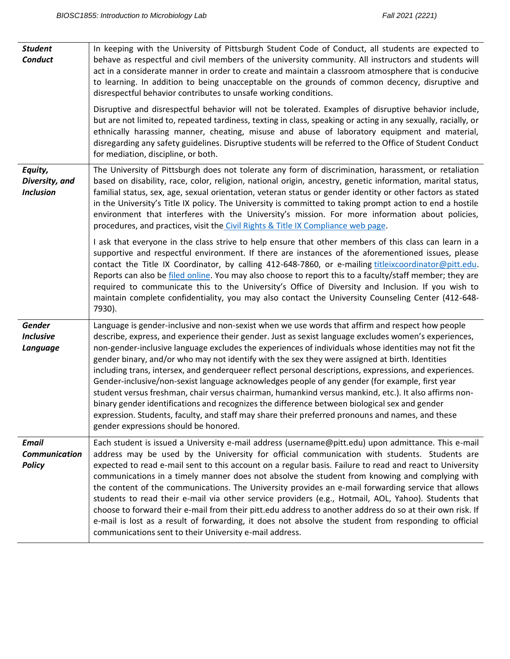| <b>Student</b><br><b>Conduct</b>                      | In keeping with the University of Pittsburgh Student Code of Conduct, all students are expected to<br>behave as respectful and civil members of the university community. All instructors and students will<br>act in a considerate manner in order to create and maintain a classroom atmosphere that is conducive<br>to learning. In addition to being unacceptable on the grounds of common decency, disruptive and<br>disrespectful behavior contributes to unsafe working conditions.<br>Disruptive and disrespectful behavior will not be tolerated. Examples of disruptive behavior include,<br>but are not limited to, repeated tardiness, texting in class, speaking or acting in any sexually, racially, or<br>ethnically harassing manner, cheating, misuse and abuse of laboratory equipment and material,<br>disregarding any safety guidelines. Disruptive students will be referred to the Office of Student Conduct<br>for mediation, discipline, or both.                  |
|-------------------------------------------------------|---------------------------------------------------------------------------------------------------------------------------------------------------------------------------------------------------------------------------------------------------------------------------------------------------------------------------------------------------------------------------------------------------------------------------------------------------------------------------------------------------------------------------------------------------------------------------------------------------------------------------------------------------------------------------------------------------------------------------------------------------------------------------------------------------------------------------------------------------------------------------------------------------------------------------------------------------------------------------------------------|
| Equity,<br>Diversity, and<br><b>Inclusion</b>         | The University of Pittsburgh does not tolerate any form of discrimination, harassment, or retaliation<br>based on disability, race, color, religion, national origin, ancestry, genetic information, marital status,<br>familial status, sex, age, sexual orientation, veteran status or gender identity or other factors as stated<br>in the University's Title IX policy. The University is committed to taking prompt action to end a hostile<br>environment that interferes with the University's mission. For more information about policies,<br>procedures, and practices, visit the Civil Rights & Title IX Compliance web page.<br>I ask that everyone in the class strive to help ensure that other members of this class can learn in a                                                                                                                                                                                                                                          |
|                                                       | supportive and respectful environment. If there are instances of the aforementioned issues, please<br>contact the Title IX Coordinator, by calling 412-648-7860, or e-mailing titleixcoordinator@pitt.edu.<br>Reports can also be filed online. You may also choose to report this to a faculty/staff member; they are<br>required to communicate this to the University's Office of Diversity and Inclusion. If you wish to<br>maintain complete confidentiality, you may also contact the University Counseling Center (412-648-<br>7930).                                                                                                                                                                                                                                                                                                                                                                                                                                                |
| Gender<br><b>Inclusive</b><br>Language                | Language is gender-inclusive and non-sexist when we use words that affirm and respect how people<br>describe, express, and experience their gender. Just as sexist language excludes women's experiences,<br>non-gender-inclusive language excludes the experiences of individuals whose identities may not fit the<br>gender binary, and/or who may not identify with the sex they were assigned at birth. Identities<br>including trans, intersex, and genderqueer reflect personal descriptions, expressions, and experiences.<br>Gender-inclusive/non-sexist language acknowledges people of any gender (for example, first year<br>student versus freshman, chair versus chairman, humankind versus mankind, etc.). It also affirms non-<br>binary gender identifications and recognizes the difference between biological sex and gender<br>expression. Students, faculty, and staff may share their preferred pronouns and names, and these<br>gender expressions should be honored. |
| <b>Email</b><br><b>Communication</b><br><b>Policy</b> | Each student is issued a University e-mail address (username@pitt.edu) upon admittance. This e-mail<br>address may be used by the University for official communication with students. Students are<br>expected to read e-mail sent to this account on a regular basis. Failure to read and react to University<br>communications in a timely manner does not absolve the student from knowing and complying with<br>the content of the communications. The University provides an e-mail forwarding service that allows<br>students to read their e-mail via other service providers (e.g., Hotmail, AOL, Yahoo). Students that<br>choose to forward their e-mail from their pitt.edu address to another address do so at their own risk. If<br>e-mail is lost as a result of forwarding, it does not absolve the student from responding to official<br>communications sent to their University e-mail address.                                                                           |